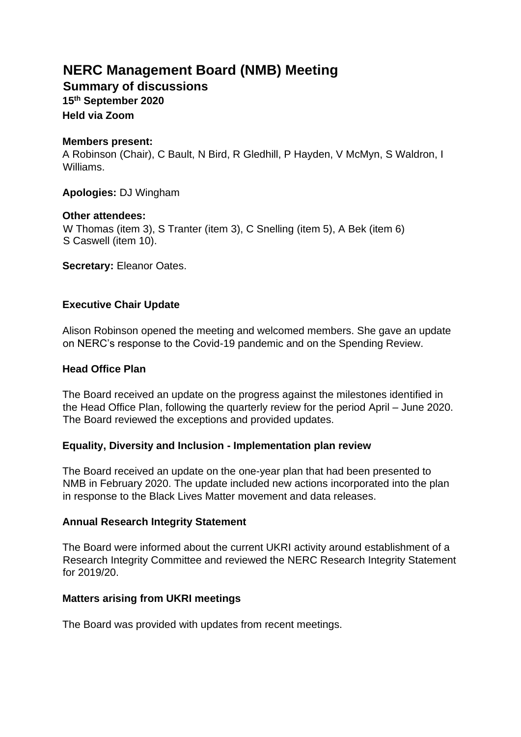# **NERC Management Board (NMB) Meeting**

**Summary of discussions** 

**15th September 2020** 

**Held via Zoom** 

## **Members present:**

A Robinson (Chair), C Bault, N Bird, R Gledhill, P Hayden, V McMyn, S Waldron, I Williams.

**Apologies:** DJ Wingham

## **Other attendees:**

W Thomas (item 3), S Tranter (item 3), C Snelling (item 5), A Bek (item 6) S Caswell (item 10).

**Secretary:** Eleanor Oates.

## **Executive Chair Update**

Alison Robinson opened the meeting and welcomed members. She gave an update on NERC's response to the Covid-19 pandemic and on the Spending Review.

## **Head Office Plan**

The Board received an update on the progress against the milestones identified in the Head Office Plan, following the quarterly review for the period April – June 2020. The Board reviewed the exceptions and provided updates.

## **Equality, Diversity and Inclusion - Implementation plan review**

The Board received an update on the one-year plan that had been presented to NMB in February 2020. The update included new actions incorporated into the plan in response to the Black Lives Matter movement and data releases.

## **Annual Research Integrity Statement**

The Board were informed about the current UKRI activity around establishment of a Research Integrity Committee and reviewed the NERC Research Integrity Statement for 2019/20.

## **Matters arising from UKRI meetings**

The Board was provided with updates from recent meetings.